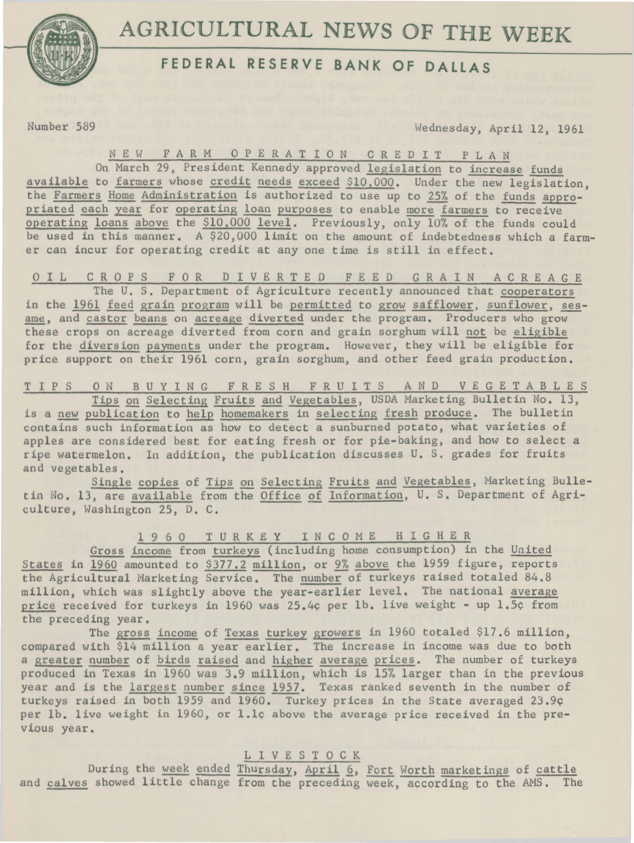

## **FEDERAL RESERVE BANK OF DALLAS**

Number 589 \vednesday, April 12, 1961

N E W FARM 0 P E R A T I 0 N C R E D I T P L A N

On March 29, President Kennedy approved legislation to increase funds available to farmers whose credit needs exceed \$10.000. Under the new legislation, the Farmers Home Administration is authorized to use up to 25% of the funds appropriated each year for operating loan purposes to enable more farmers to receive operating loans above the \$10,000 level. Previously, only 10% of the funds could be used in this manner. A \$20,000 limit on the amount of indebtedness which a farmer can incur for operating credit at any one time is still in effect.

O I L CROPS FOR DIVERTED FEED GRAIN ACREAGE The U. S. Department of Agriculture recently announced that cooperators in the 1961 feed grain program will be permitted to grow safflower, sunflower, sesame, and castor beans on acreage diverted under the program. Producers who grow these crops on acreage diverted from corn and grain sorghum will not be eligible for the diversion payments under the program. However, they will be eligible for price support on their 1961 corn, grain sorghum, and other feed grain production.

TIPS ON BUYING FRESH FRUITS AND VEGETABLES Tips on Selecting Fruits and Vegetables, USDA Marketing Bulletin No. 13, is a new publication to help homemakers in selecting fresh produce. The bulletin contains such information as how to detect a sunburned potato, what varieties of apples are considered best for eating fresh or for pie-baking, and how to select a ripe watermelon. In addition, the publication discusses U. S. grades for fruits and vegetables.

Single copies of Tips on Selecting Fruits and Vegetables, Marketing Bulletin No. 13, are available from the Office of Information, U. S. Department of Agriculture, Washington 25, D. C.

1 9 6 0 T U R K E Y I N C 0 M E H I G H E R

Gross income from turkeys (including home consumption) in the United States in 1960 amounted to \$377.2 million, or 9% above the 1959 figure, reports the Agricultural Marketing Service. The number of turkeys raised totaled 84.8 million, which was slightly above the year-earlier level. The national average price received for turkeys in 1960 was 25.4¢ per 1b. live weight - up 1.5¢ from the preceding year.

The gross income of Texas turkey growers in 1960 totaled \$17.6 million, compared with \$14 million a year earlier. The increase in income was due to both a greater number of birds raised and higher average prices. The number of turkeys produced in Texas in 1960 was 3.9 million, which is 15% larger than in the previous year and is the largest number since 1957. Texas ranked seventh in the number of turkeys raised in both 1959 and 1960. Turkey prices in the State averaged 23.9¢ per lb. live weight in 1960, or 1.1¢ above the average price received in the previous year.

L I V E S T 0 C K

During the week ended Thursday, April 6, Fort Worth marketings of cattle and calves showed little change from the preceding week, according to the AMS. The